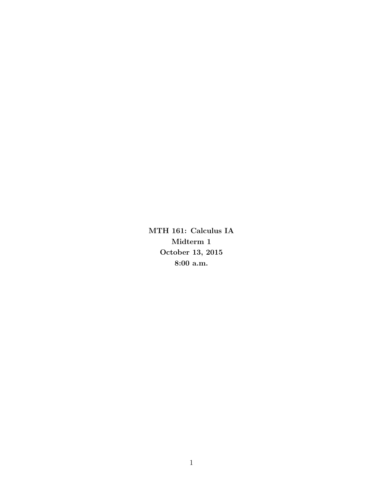MTH 161: Calculus IA Midterm 1 October 13, 2015 8:00 a.m.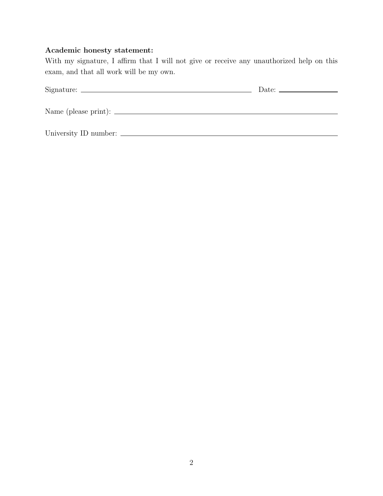# Academic honesty statement:

With my signature, I affirm that I will not give or receive any unauthorized help on this exam, and that all work will be my own.

| Date: $\frac{1}{2}$ |
|---------------------|
|                     |
|                     |
|                     |
|                     |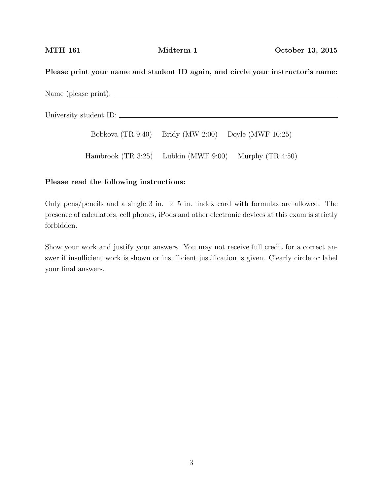### Please print your name and student ID again, and circle your instructor's name:

Name (please print):

University student ID:

Bobkova (TR 9:40) Bridy (MW 2:00) Doyle (MWF 10:25)

Hambrook (TR 3:25) Lubkin (MWF 9:00) Murphy (TR 4:50)

#### Please read the following instructions:

Only pens/pencils and a single 3 in.  $\times$  5 in. index card with formulas are allowed. The presence of calculators, cell phones, iPods and other electronic devices at this exam is strictly forbidden.

Show your work and justify your answers. You may not receive full credit for a correct answer if insufficient work is shown or insufficient justification is given. Clearly circle or label your final answers.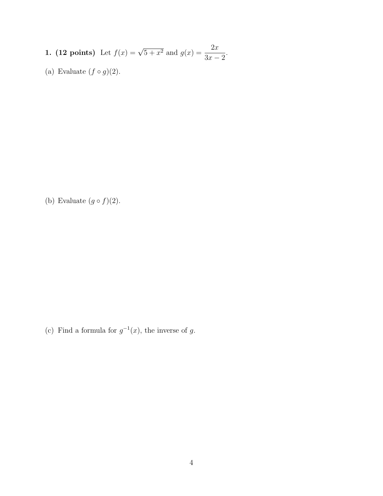- **1.** (**12 points**) Let  $f(x) = \sqrt{5 + x^2}$  and  $g(x) = \frac{2x}{2}$  $3x - 2$ .
- (a) Evaluate  $(f \circ g)(2)$ .

(b) Evaluate  $(g \circ f)(2)$ .

(c) Find a formula for  $g^{-1}(x)$ , the inverse of g.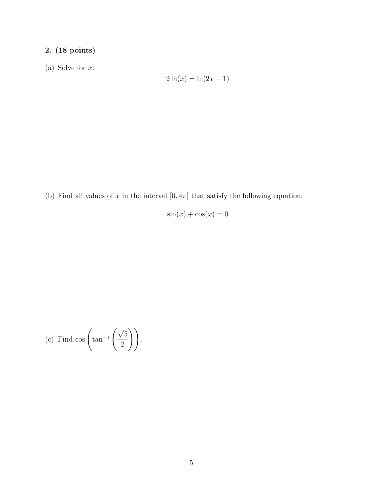# 2. (18 points)

(a) Solve for  $x$ :

$$
2\ln(x) = \ln(2x - 1)
$$

(b) Find all values of x in the interval  $[0, 4\pi]$  that satisfy the following equation:

 $sin(x) + cos(x) = 0$ 

(c) Find 
$$
\cos\left(\tan^{-1}\left(\frac{\sqrt{5}}{2}\right)\right)
$$
.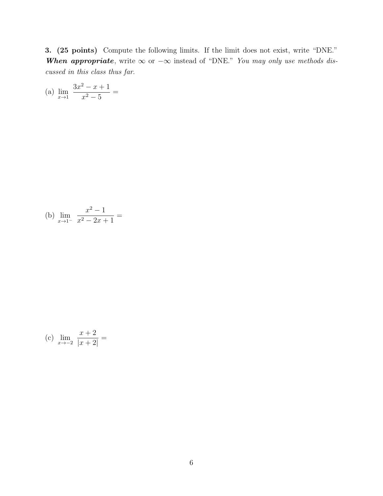3. (25 points) Compute the following limits. If the limit does not exist, write "DNE." When appropriate, write  $\infty$  or  $-\infty$  instead of "DNE." You may only use methods discussed in this class thus far.

(a) 
$$
\lim_{x \to 1} \frac{3x^2 - x + 1}{x^2 - 5} =
$$

(b) 
$$
\lim_{x \to 1^{-}} \frac{x^2 - 1}{x^2 - 2x + 1} =
$$

(c) 
$$
\lim_{x \to -2} \frac{x+2}{|x+2|} =
$$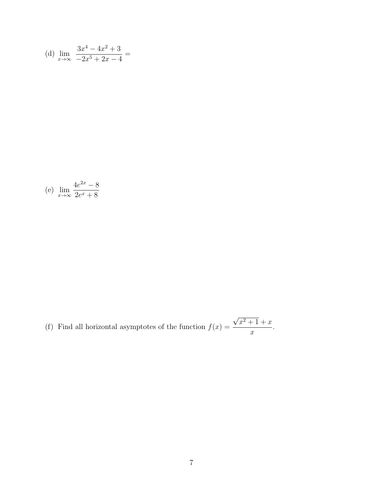(d) 
$$
\lim_{x \to \infty} \frac{3x^4 - 4x^2 + 3}{-2x^5 + 2x - 4} =
$$

(e) 
$$
\lim_{x \to \infty} \frac{4e^{2x} - 8}{2e^x + 8}
$$

(f) Find all horizontal asymptotes of the function  $f(x) =$ √  $x^2 + 1 + x$  $\boldsymbol{x}$ .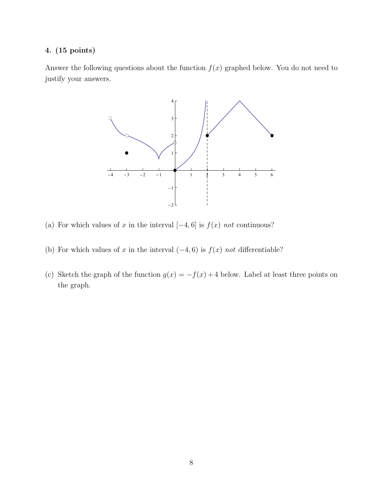### 4. (15 points)

Answer the following questions about the function  $f(x)$  graphed below. You do not need to justify your answers.



- (a) For which values of x in the interval  $[-4, 6]$  is  $f(x)$  not continuous?
- (b) For which values of x in the interval  $(-4, 6)$  is  $f(x)$  not differentiable?
- (c) Sketch the graph of the function  $g(x) = -f(x) + 4$  below. Label at least three points on the graph.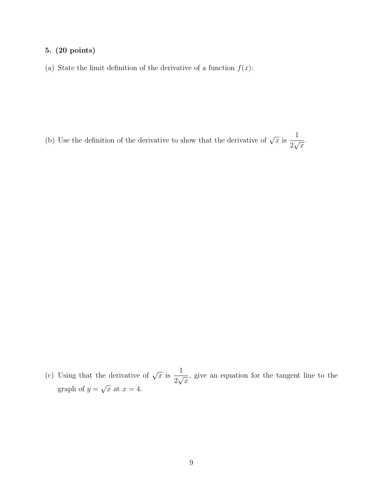### 5. (20 points)

(a) State the limit definition of the derivative of a function  $f(x)$ :

(b) Use the definition of the derivative to show that the derivative of  $\sqrt{x}$  is 1 2  $\frac{1}{\sqrt{2}}$  $\overline{x}$ .

(c) Using that the derivative of  $\sqrt{x}$  is 1 2  $\frac{1}{\sqrt{2}}$  $\overline{x}$ , give an equation for the tangent line to the graph of  $y =$ √  $\overline{x}$  at  $x=4$ .